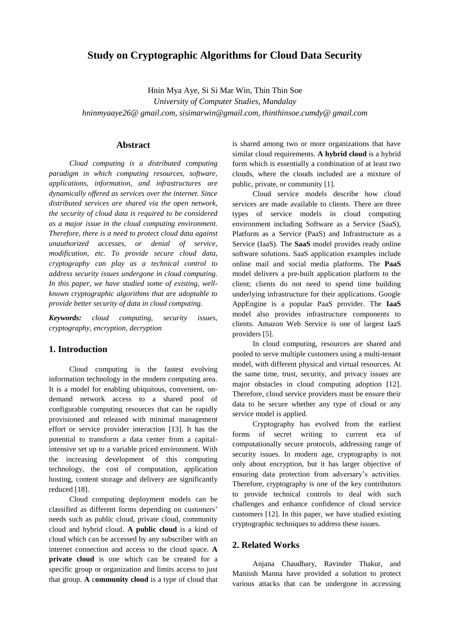# **Study on Cryptographic Algorithms for Cloud Data Security**

Hnin Mya Aye, Si Si Mar Win, Thin Thin Soe *University of Computer Studies, Mandalay [hninmyaaye26@ gmail.com](mailto:hninmyaaye26@gmail.com)*, *[sisimarwin@gmail.com](mailto:sisimarwin@gmail.com)*, *[thinthinsoe.cumdy@ gmail.com](mailto:thinthinsoe.cumdy@%20gmail.com)*

### **Abstract**

*Cloud computing is a distributed computing paradigm in which computing resources, software, applications, information, and infrastructures are dynamically offered as services over the internet. Since distributed services are shared via the open network, the security of cloud data is required to be considered as a major issue in the cloud computing environment. Therefore, there is a need to protect cloud data against unauthorized accesses, or denial of service, modification, etc. To provide secure cloud data, cryptography can play as a technical control to address security issues undergone in cloud computing. In this paper, we have studied some of existing, wellknown cryptographic algorithms that are adoptable to provide better security of data in cloud computing.* 

*Keywords: cloud computing, security issues, cryptography, encryption, decryption*

## **1. Introduction**

Cloud computing is the fastest evolving information technology in the modern computing area. It is a model for enabling ubiquitous, convenient, ondemand network access to a shared pool of configurable computing resources that can be rapidly provisioned and released with minimal management effort or service provider interaction [13]. It has the potential to transform a data center from a capitalintensive set up to a variable priced environment. With the increasing development of this computing technology, the cost of computation, application hosting, content storage and delivery are significantly reduced [18].

Cloud computing deployment models can be classified as different forms depending on customers' needs such as public cloud, private cloud, community cloud and hybrid cloud. **A public cloud** is a kind of cloud which can be accessed by any subscriber with an internet connection and access to the cloud space. **A private cloud** is one which can be created for a specific group or organization and limits access to just that group. **A** c**ommunity cloud** is a type of cloud that is shared among two or more organizations that have similar cloud requirements. **A hybrid cloud** is a hybrid form which is essentially a combination of at least two clouds, where the clouds included are a mixture of public, private, or community [1].

Cloud service models describe how cloud services are made available to clients. There are three types of service models in cloud computing environment including Software as a Service (SaaS), Platform as a Service (PaaS) and Infrastructure as a Service (IaaS). The **SaaS** model provides ready online software solutions. SaaS application examples include online mail and social media platforms. The **PaaS** model delivers a pre-built application platform to the client; clients do not need to spend time building underlying infrastructure for their applications. Google AppEngine is a popular PaaS provider. The **IaaS** model also provides infrastructure components to clients. Amazon Web Service is one of largest IaaS providers [5].

In cloud computing, resources are shared and pooled to serve multiple customers using a multi-tenant model, with different physical and virtual resources. At the same time, trust, security, and privacy issues are major obstacles in cloud computing adoption [12]. Therefore, cloud service providers must be ensure their data to be secure whether any type of cloud or any service model is applied.

Cryptography has evolved from the earliest forms of secret writing to current era of computationally secure protocols, addressing range of security issues. In modern age, cryptography is not only about encryption, but it has larger objective of ensuring data protection from adversary's activities. Therefore, cryptography is one of the key contributors to provide technical controls to deal with such challenges and enhance confidence of cloud service customers [12]. In this paper, we have studied existing cryptographic techniques to address these issues.

### **2. Related Works**

Anjana Chaudhary, Ravinder Thakur, and Manissh Manna have provided a solution to protect various attacks that can be undergone in accessing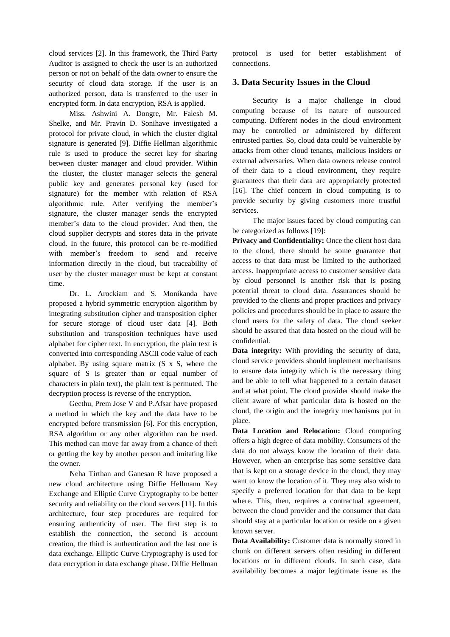cloud services [2]. In this framework, the Third Party Auditor is assigned to check the user is an authorized person or not on behalf of the data owner to ensure the security of cloud data storage. If the user is an authorized person, data is transferred to the user in encrypted form. In data encryption, RSA is applied.

Miss. Ashwini A. Dongre, Mr. Falesh M. Shelke, and Mr. Pravin D. Sonihave investigated a protocol for private cloud, in which the cluster digital signature is generated [9]. Diffie Hellman algorithmic rule is used to produce the secret key for sharing between cluster manager and cloud provider. Within the cluster, the cluster manager selects the general public key and generates personal key (used for signature) for the member with relation of RSA algorithmic rule. After verifying the member's signature, the cluster manager sends the encrypted member's data to the cloud provider. And then, the cloud supplier decrypts and stores data in the private cloud. In the future, this protocol can be re-modified with member's freedom to send and receive information directly in the cloud, but traceability of user by the cluster manager must be kept at constant time.

Dr. L. Arockiam and S. Monikanda have proposed a hybrid symmetric encryption algorithm by integrating substitution cipher and transposition cipher for secure storage of cloud user data [4]. Both substitution and transposition techniques have used alphabet for cipher text. In encryption, the plain text is converted into corresponding ASCII code value of each alphabet. By using square matrix (S x S, where the square of S is greater than or equal number of characters in plain text), the plain text is permuted. The decryption process is reverse of the encryption.

Geethu, Prem Jose V and P.Afsar have proposed a method in which the key and the data have to be encrypted before transmission [6]. For this encryption, RSA algorithm or any other algorithm can be used. This method can move far away from a chance of theft or getting the key by another person and imitating like the owner.

Neha Tirthan and Ganesan R have proposed a new cloud architecture using Diffie Hellmann Key Exchange and Elliptic Curve Cryptography to be better security and reliability on the cloud servers [11]. In this architecture, four step procedures are required for ensuring authenticity of user. The first step is to establish the connection, the second is account creation, the third is authentication and the last one is data exchange. Elliptic Curve Cryptography is used for data encryption in data exchange phase. Diffie Hellman

protocol is used for better establishment of connections.

## **3. Data Security Issues in the Cloud**

Security is a major challenge in cloud computing because of its nature of outsourced computing. Different nodes in the cloud environment may be controlled or administered by different entrusted parties. So, cloud data could be vulnerable by attacks from other cloud tenants, malicious insiders or external adversaries. When data owners release control of their data to a cloud environment, they require guarantees that their data are appropriately protected [16]. The chief concern in cloud computing is to provide security by giving customers more trustful services.

The major issues faced by cloud computing can be categorized as follows [19]:

**Privacy and Confidentiality:** Once the client host data to the cloud, there should be some guarantee that access to that data must be limited to the authorized access. Inappropriate access to customer sensitive data by cloud personnel is another risk that is posing potential threat to cloud data. Assurances should be provided to the clients and proper practices and privacy policies and procedures should be in place to assure the cloud users for the safety of data. The cloud seeker should be assured that data hosted on the cloud will be confidential.

**Data integrity:** With providing the security of data, cloud service providers should implement mechanisms to ensure data integrity which is the necessary thing and be able to tell what happened to a certain dataset and at what point. The cloud provider should make the client aware of what particular data is hosted on the cloud, the origin and the integrity mechanisms put in place.

**Data Location and Relocation:** Cloud computing offers a high degree of data mobility. Consumers of the data do not always know the location of their data. However, when an enterprise has some sensitive data that is kept on a storage device in the cloud, they may want to know the location of it. They may also wish to specify a preferred location for that data to be kept where. This, then, requires a contractual agreement, between the cloud provider and the consumer that data should stay at a particular location or reside on a given known server.

**Data Availability:** Customer data is normally stored in chunk on different servers often residing in different locations or in different clouds. In such case, data availability becomes a major legitimate issue as the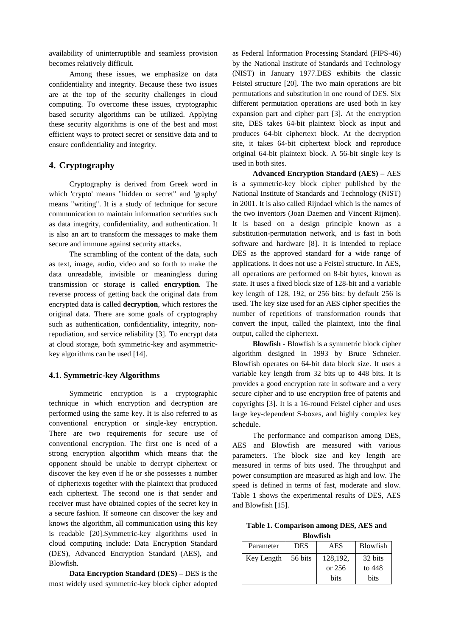availability of uninterruptible and seamless provision becomes relatively difficult.

Among these issues, we emphasize on data confidentiality and integrity. Because these two issues are at the top of the security challenges in cloud computing. To overcome these issues, cryptographic based security algorithms can be utilized. Applying these security algorithms is one of the best and most efficient ways to protect secret or sensitive data and to ensure confidentiality and integrity.

## **4. Cryptography**

Cryptography is derived from Greek word in which 'crypto' means "hidden or secret" and 'graphy' means "writing". It is a study of technique for secure communication to maintain information securities such as data integrity, confidentiality, and authentication. It is also an art to transform the messages to make them secure and immune against security attacks.

The scrambling of the content of the data, such as text, image, audio, video and so forth to make the data unreadable, invisible or meaningless during transmission or storage is called **encryption**. The reverse process of getting back the original data from encrypted data is called **decryption**, which restores the original data. There are some goals of cryptography such as authentication, confidentiality, integrity, nonrepudiation, and service reliability [3]. To encrypt data at cloud storage, both symmetric-key and asymmetrickey algorithms can be used [14].

### **4.1. Symmetric-key Algorithms**

Symmetric encryption is a cryptographic technique in which encryption and decryption are performed using the same key. It is also referred to as conventional encryption or single-key encryption. There are two requirements for secure use of conventional encryption. The first one is need of a strong encryption algorithm which means that the opponent should be unable to decrypt ciphertext or discover the key even if he or she possesses a number of ciphertexts together with the plaintext that produced each ciphertext. The second one is that sender and receiver must have obtained copies of the secret key in a secure fashion. If someone can discover the key and knows the algorithm, all communication using this key is readable [20].Symmetric-key algorithms used in cloud computing include: Data Encryption Standard (DES), Advanced Encryption Standard (AES), and Blowfish.

**Data Encryption Standard (DES) –** DES is the most widely used symmetric-key block cipher adopted

as Federal Information Processing Standard (FIPS-46) by the National Institute of Standards and Technology (NIST) in January 1977.DES exhibits the classic Feistel structure [20]. The two main operations are bit permutations and substitution in one round of DES. Six different permutation operations are used both in key expansion part and cipher part [3]. At the encryption site, DES takes 64-bit plaintext block as input and produces 64-bit ciphertext block. At the decryption site, it takes 64-bit ciphertext block and reproduce original 64-bit plaintext block. A 56-bit single key is used in both sites.

**Advanced Encryption Standard (AES) –** AES is a symmetric-key block cipher published by the National Institute of Standards and Technology (NIST) in 2001. It is also called Rijndael which is the names of the two inventors (Joan Daemen and Vincent Rijmen). It is based on a design principle known as a substitution-permutation network, and is fast in both software and hardware [8]. It is intended to replace DES as the approved standard for a wide range of applications. It does not use a Feistel structure. In AES, all operations are performed on 8-bit bytes, known as state. It uses a fixed block size of 128-bit and a variable key length of 128, 192, or 256 bits: by default 256 is used. The key size used for an AES cipher specifies the number of repetitions of transformation rounds that convert the input, called the plaintext, into the final output, called the ciphertext.

**Blowfish -** Blowfish is a symmetric block cipher algorithm designed in 1993 by Bruce Schneier. Blowfish operates on 64-bit data block size. It uses a variable key length from 32 bits up to 448 bits. It is provides a good encryption rate in software and a very secure cipher and to use encryption free of patents and copyrights [3]. It is a 16-round Feistel cipher and uses large key-dependent S-boxes, and highly complex key schedule.

The performance and comparison among DES, AES and Blowfish are measured with various parameters. The block size and key length are measured in terms of bits used. The throughput and power consumption are measured as high and low. The speed is defined in terms of fast, moderate and slow. Table 1 shows the experimental results of DES, AES and Blowfish [15].

**Table 1. Comparison among DES, AES and Blowfish**

| Parameter  | <b>DES</b> | AES         | <b>Blowfish</b> |  |  |  |
|------------|------------|-------------|-----------------|--|--|--|
| Key Length | 56 bits    | 128,192,    | 32 bits         |  |  |  |
|            |            | or 256      | to 448          |  |  |  |
|            |            | <b>bits</b> | <b>bits</b>     |  |  |  |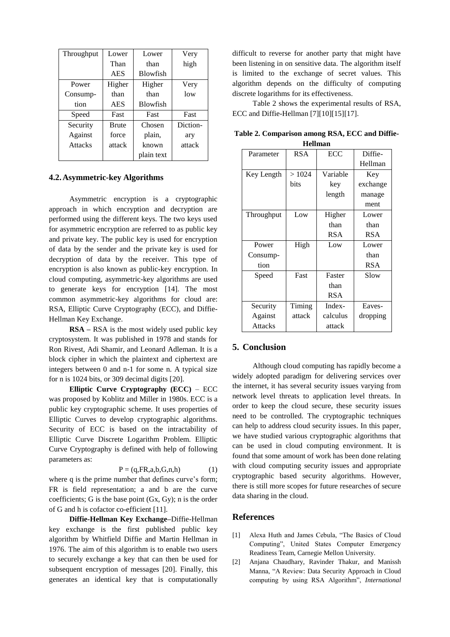| Throughput | Lower        | Lower           | Very     |
|------------|--------------|-----------------|----------|
|            | Than         | than            | high     |
|            | <b>AES</b>   | <b>Blowfish</b> |          |
| Power      | Higher       | Higher          | Very     |
| Consump-   | than         | than            | low      |
| tion       | <b>AES</b>   | <b>Blowfish</b> |          |
| Speed      | Fast         | Fast            | Fast     |
| Security   | <b>Brute</b> | Chosen          | Diction- |
| Against    | force        | plain,          | ary      |
| Attacks    | attack       | known           | attack   |
|            |              | plain text      |          |

### **4.2.Asymmetric-key Algorithms**

Asymmetric encryption is a cryptographic approach in which encryption and decryption are performed using the different keys. The two keys used for asymmetric encryption are referred to as public key and private key. The public key is used for encryption of data by the sender and the private key is used for decryption of data by the receiver. This type of encryption is also known as public-key encryption. In cloud computing, asymmetric-key algorithms are used to generate keys for encryption [14]. The most common asymmetric-key algorithms for cloud are: RSA, Elliptic Curve Cryptography (ECC), and Diffie-Hellman Key Exchange.

**RSA –** RSA is the most widely used public key cryptosystem. It was published in 1978 and stands for Ron Rivest, Adi Shamir, and Leonard Adleman. It is a block cipher in which the plaintext and ciphertext are integers between 0 and n-1 for some n. A typical size for n is 1024 bits, or 309 decimal digits [20].

**Elliptic Curve Cryptography (ECC)** – ECC was proposed by Koblitz and Miller in 1980s. ECC is a public key cryptographic scheme. It uses properties of Elliptic Curves to develop cryptographic algorithms. Security of ECC is based on the intractability of Elliptic Curve Discrete Logarithm Problem. Elliptic Curve Cryptography is defined with help of following parameters as:

$$
P = (q, FR, a, b, G, n, h) \tag{1}
$$

where q is the prime number that defines curve's form; FR is field representation; a and b are the curve coefficients; G is the base point (Gx, Gy); n is the order of G and h is cofactor co-efficient [11].

**Diffie-Hellman Key Exchange–**Diffie-Hellman key exchange is the first published public key algorithm by Whitfield Diffie and Martin Hellman in 1976. The aim of this algorithm is to enable two users to securely exchange a key that can then be used for subsequent encryption of messages [20]. Finally, this generates an identical key that is computationally

difficult to reverse for another party that might have been listening in on sensitive data. The algorithm itself is limited to the exchange of secret values. This algorithm depends on the difficulty of computing discrete logarithms for its effectiveness.

Table 2 shows the experimental results of RSA, ECC and Diffie-Hellman [7][10][15][17].

| Parameter  | <b>RSA</b> | ECC        | Diffie-    |
|------------|------------|------------|------------|
|            |            |            | Hellman    |
| Key Length | >1024      | Variable   | Key        |
|            | bits       | key        | exchange   |
|            |            | length     | manage     |
|            |            |            | ment       |
| Throughput | Low        | Higher     | Lower      |
|            |            | than       | than       |
|            |            | <b>RSA</b> | <b>RSA</b> |
| Power      | High       | Low        | Lower      |
| Consump-   |            |            | than       |
| tion       |            |            | RSA        |
| Speed      | Fast       | Faster     | Slow       |
|            |            | than       |            |
|            |            | <b>RSA</b> |            |
| Security   | Timing     | Index-     | Eaves-     |
| Against    | attack     | calculus   | dropping   |
| Attacks    |            | attack     |            |

**Table 2. Comparison among RSA, ECC and Diffie-Hellman**

### **5. Conclusion**

Although cloud computing has rapidly become a widely adopted paradigm for delivering services over the internet, it has several security issues varying from network level threats to application level threats. In order to keep the cloud secure, these security issues need to be controlled. The cryptographic techniques can help to address cloud security issues. In this paper, we have studied various cryptographic algorithms that can be used in cloud computing environment. It is found that some amount of work has been done relating with cloud computing security issues and appropriate cryptographic based security algorithms. However, there is still more scopes for future researches of secure data sharing in the cloud.

### **References**

- [1] Alexa Huth and James Cebula, "The Basics of Cloud Computing", United States Computer Emergency Readiness Team, Carnegie Mellon University.
- [2] Anjana Chaudhary, Ravinder Thakur, and Manissh Manna, "A Review: Data Security Approach in Cloud computing by using RSA Algorithm", *International*